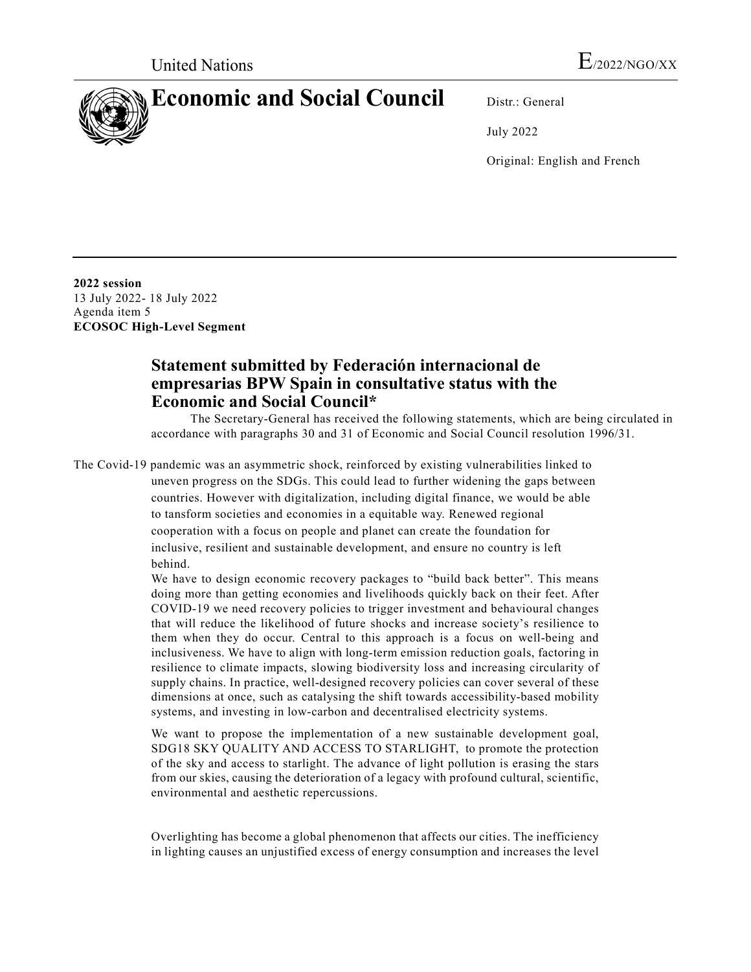## **Economic and Social Council** Distr.: General

July 2022

Original: English and French

**2022 session**  13 July 2022- 18 July 2022 Agenda item 5 **ECOSOC High-Level Segment** 

## **Statement submitted by Federación internacional de empresarias BPW Spain in consultative status with the Economic and Social Council\***

The Secretary-General has received the following statements, which are being circulated in accordance with paragraphs 30 and 31 of Economic and Social Council resolution 1996/31.

The Covid-19 pandemic was an asymmetric shock, reinforced by existing vulnerabilities linked to uneven progress on the SDGs. This could lead to further widening the gaps between countries. However with digitalization, including digital finance, we would be able to tansform societies and economies in a equitable way. Renewed regional cooperation with a focus on people and planet can create the foundation for inclusive, resilient and sustainable development, and ensure no country is left behind.

> We have to design economic recovery packages to "build back better". This means doing more than getting economies and livelihoods quickly back on their feet. After COVID-19 we need recovery policies to trigger investment and behavioural changes that will reduce the likelihood of future shocks and increase society's resilience to them when they do occur. Central to this approach is a focus on well-being and inclusiveness. We have to align with long-term emission reduction goals, factoring in resilience to climate impacts, slowing biodiversity loss and increasing circularity of supply chains. In practice, well-designed recovery policies can cover several of these dimensions at once, such as catalysing the shift towards accessibility-based mobility systems, and investing in low-carbon and decentralised electricity systems.

> We want to propose the implementation of a new sustainable development goal, SDG18 SKY QUALITY AND ACCESS TO STARLIGHT, to promote the protection of the sky and access to starlight. The advance of light pollution is erasing the stars from our skies, causing the deterioration of a legacy with profound cultural, scientific, environmental and aesthetic repercussions.

> Overlighting has become a global phenomenon that affects our cities. The inefficiency in lighting causes an unjustified excess of energy consumption and increases the level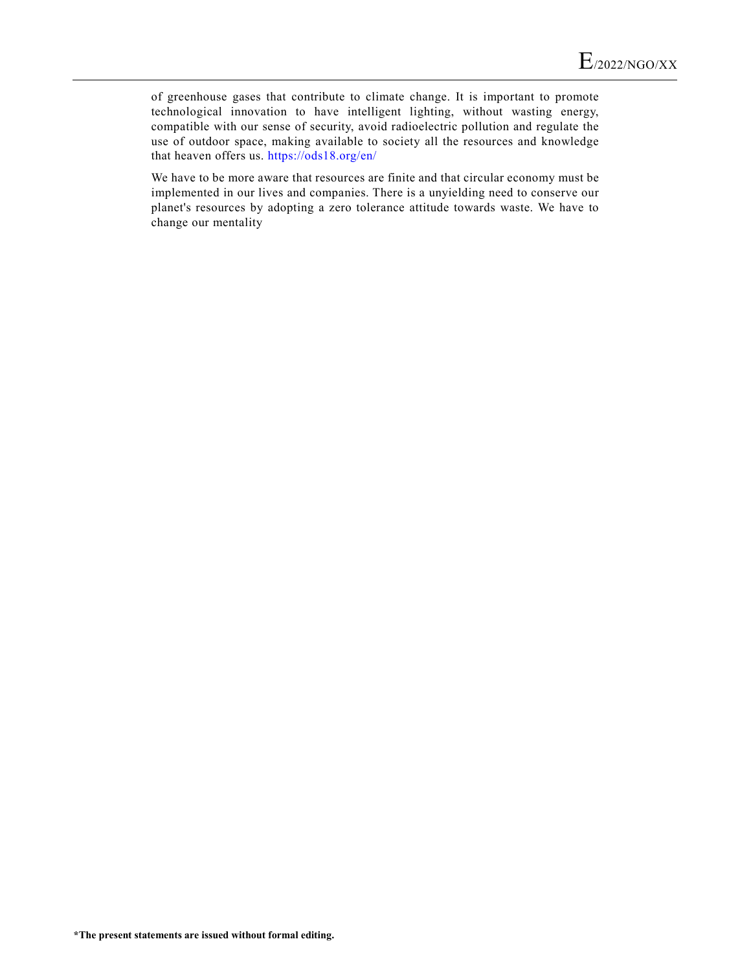of greenhouse gases that contribute to climate change. It is important to promote technological innovation to have intelligent lighting, without wasting energy, compatible with our sense of security, avoid radioelectric pollution and regulate the use of outdoor space, making available to society all the resources and knowledge that heaven offers us. <https://ods18.org/en/>

We have to be more aware that resources are finite and that circular economy must be implemented in our lives and companies. There is a unyielding need to conserve our planet's resources by adopting a zero tolerance attitude towards waste. We have to change our mentality